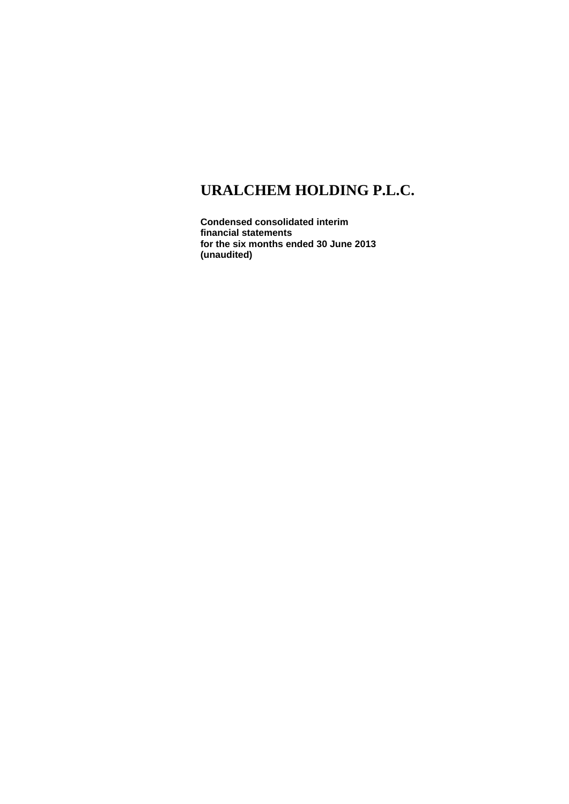**Condensed consolidated interim financial statements for the six months ended 30 June 2013 (unaudited)**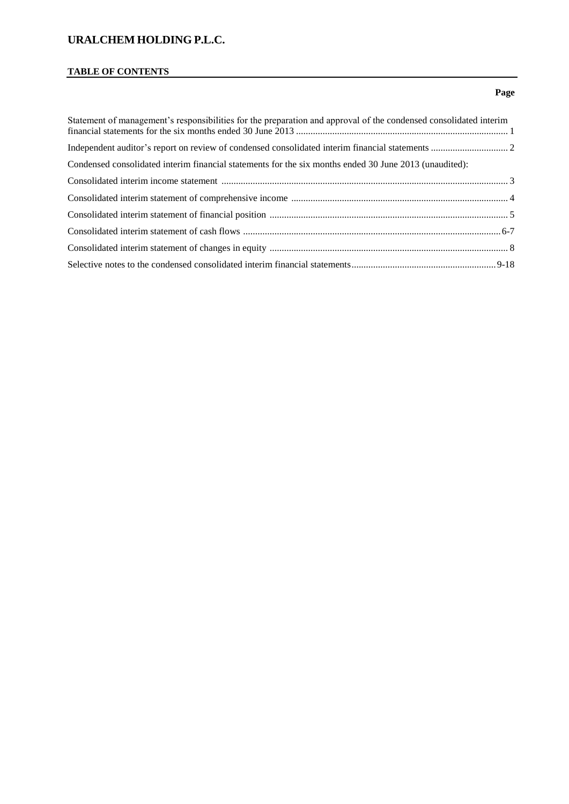### **TABLE OF CONTENTS**

# Statement of management's responsibilities for the preparation and approval of the condensed consolidated interim financial statements for the six months ended 30 June 2013 ........................................................................................ 1 Independent auditor's report on review of condensed consolidated interim financial statements ................................ 2 Condensed consolidated interim financial statements for the six months ended 30 June 2013 (unaudited): Consolidated interim income statement ....................................................................................................................... 3 Consolidated interim statement of comprehensive income .......................................................................................... 4 Consolidated interim statement of financial position ................................................................................................... 5 Consolidated interim statement of cash flows ...........................................................................................................6-7 Consolidated interim statement of changes in equity ................................................................................................... 8 Selective notes to the condensed consolidated interim financial statements............................................................9-18

#### **Page**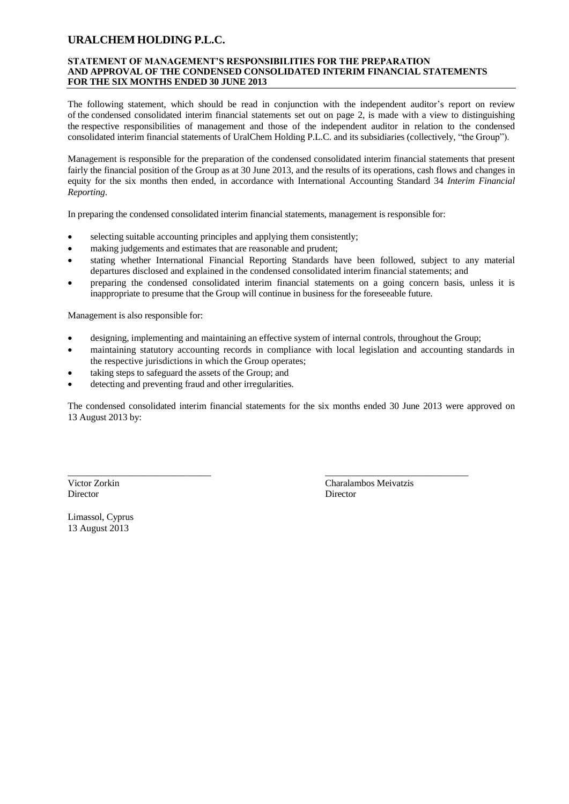### **STATEMENT OF MANAGEMENT'S RESPONSIBILITIES FOR THE PREPARATION AND APPROVAL OF THE CONDENSED CONSOLIDATED INTERIM FINANCIAL STATEMENTS FOR THE SIX MONTHS ENDED 30 JUNE 2013**

The following statement, which should be read in conjunction with the independent auditor's report on review of the condensed consolidated interim financial statements set out on page 2, is made with a view to distinguishing the respective responsibilities of management and those of the independent auditor in relation to the condensed consolidated interim financial statements of UralChem Holding P.L.C. and its subsidiaries (collectively, "the Group").

Management is responsible for the preparation of the condensed consolidated interim financial statements that present fairly the financial position of the Group as at 30 June 2013, and the results of its operations, cash flows and changes in equity for the six months then ended, in accordance with International Accounting Standard 34 *Interim Financial Reporting*.

In preparing the condensed consolidated interim financial statements, management is responsible for:

- selecting suitable accounting principles and applying them consistently;
- making judgements and estimates that are reasonable and prudent;
- stating whether International Financial Reporting Standards have been followed, subject to any material departures disclosed and explained in the condensed consolidated interim financial statements; and
- preparing the condensed consolidated interim financial statements on a going concern basis, unless it is inappropriate to presume that the Group will continue in business for the foreseeable future.

Management is also responsible for:

designing, implementing and maintaining an effective system of internal controls, throughout the Group;

 $\frac{1}{2}$  ,  $\frac{1}{2}$  ,  $\frac{1}{2}$  ,  $\frac{1}{2}$  ,  $\frac{1}{2}$  ,  $\frac{1}{2}$  ,  $\frac{1}{2}$  ,  $\frac{1}{2}$  ,  $\frac{1}{2}$  ,  $\frac{1}{2}$  ,  $\frac{1}{2}$  ,  $\frac{1}{2}$  ,  $\frac{1}{2}$  ,  $\frac{1}{2}$  ,  $\frac{1}{2}$  ,  $\frac{1}{2}$  ,  $\frac{1}{2}$  ,  $\frac{1}{2}$  ,  $\frac{1$ 

- maintaining statutory accounting records in compliance with local legislation and accounting standards in the respective jurisdictions in which the Group operates;
- taking steps to safeguard the assets of the Group; and
- detecting and preventing fraud and other irregularities.

The condensed consolidated interim financial statements for the six months ended 30 June 2013 were approved on 13 August 2013 by:

Director Director

Victor Zorkin Charalambos Meivatzis

Limassol, Cyprus 13 August 2013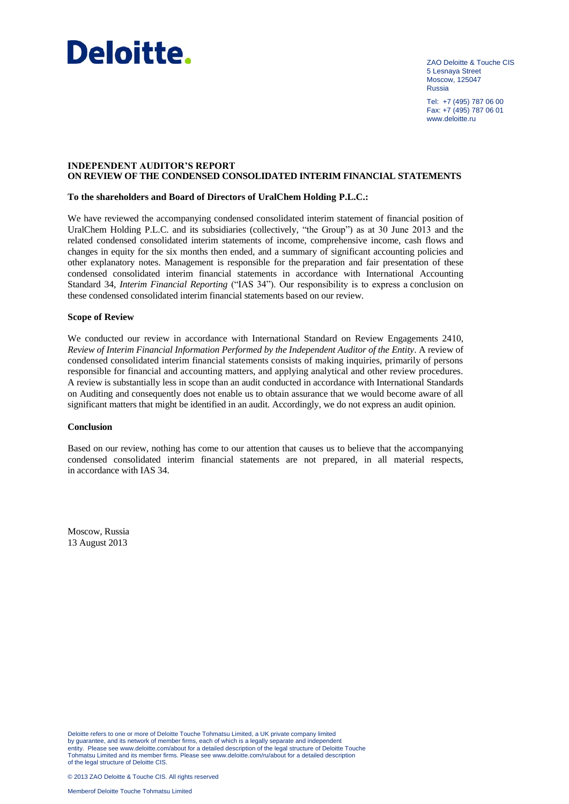# Deloitte.

ZAO Deloitte & Touche CIS 5 Lesnaya Street Moscow, 125047 Russia

Tel: +7 (495) 787 06 00 Fax: +7 (495) 787 06 01 www.deloitte.ru

### **INDEPENDENT AUDITOR'S REPORT ON REVIEW OF THE CONDENSED CONSOLIDATED INTERIM FINANCIAL STATEMENTS**

### **To the shareholders and Board of Directors of UralChem Holding P.L.C.:**

We have reviewed the accompanying condensed consolidated interim statement of financial position of UralChem Holding P.L.C. and its subsidiaries (collectively, "the Group") as at 30 June 2013 and the related condensed consolidated interim statements of income, comprehensive income, cash flows and changes in equity for the six months then ended, and a summary of significant accounting policies and other explanatory notes. Management is responsible for the preparation and fair presentation of these condensed consolidated interim financial statements in accordance with International Accounting Standard 34, *Interim Financial Reporting* ("IAS 34"). Our responsibility is to express a conclusion on these condensed consolidated interim financial statements based on our review.

### **Scope of Review**

We conducted our review in accordance with International Standard on Review Engagements 2410, *Review of Interim Financial Information Performed by the Independent Auditor of the Entity*. A review of condensed consolidated interim financial statements consists of making inquiries, primarily of persons responsible for financial and accounting matters, and applying analytical and other review procedures. A review is substantially less in scope than an audit conducted in accordance with International Standards on Auditing and consequently does not enable us to obtain assurance that we would become aware of all significant matters that might be identified in an audit. Accordingly, we do not express an audit opinion.

### **Conclusion**

Based on our review, nothing has come to our attention that causes us to believe that the accompanying condensed consolidated interim financial statements are not prepared, in all material respects, in accordance with IAS 34.

Moscow, Russia 13 August 2013

Deloitte refers to one or more of Deloitte Touche Tohmatsu Limited, a UK private company limited by guarantee, and its network of member firms, each of which is a legally separate and independent entity. Please see www.deloitte.com/about for a detailed description of the legal structure of Deloitte Touche Tohmatsu Limited and its member firms. Please see www.deloitte.com/ru/about for a detailed description of the legal structure of Deloitte CIS.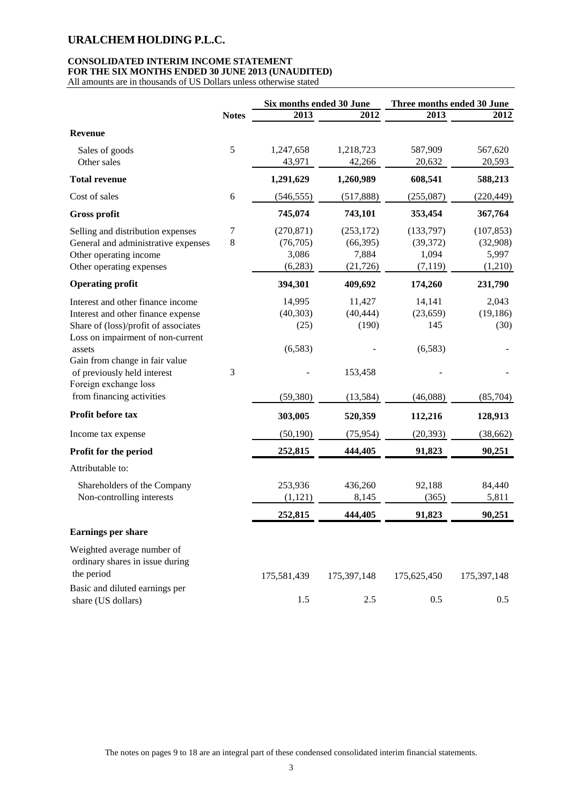**Earnings per share**

Weighted average number of ordinary shares in issue during

Basic and diluted earnings per

# **CONSOLIDATED INTERIM INCOME STATEMENT**

**FOR THE SIX MONTHS ENDED 30 JUNE 2013 (UNAUDITED)** All amounts are in thousands of US Dollars unless otherwise stated

**Notes 2013 2012 2013 2012 Revenue** Sales of goods 5 5 1,247,658 1,218,723 587,909 567,620 Other sales 20,593 13,971 42,266 20,632 20,593 **Total revenue 1,291,629 1,260,989 608,541 588,213** Cost of sales 6 (546,555) (517,888) (255,087) (220,449) **Gross profit 745,074 743,101 353,454 367,764** Selling and distribution expenses  $\frac{7}{270,871}$  (253,172) (133,797) (107,853) General and administrative expenses 8 (76,705) (66,395) (39,372) (32,908) Other operating income 3,086 7,884 1,094 5,997 Other operating expenses (6,283) (21,726) (7,119) (1,210) **Operating profit 394,301 409,692 174,260 231,790** Interest and other finance income 14,995 11,427 14,141 2,043 Interest and other finance expense (40,303) (40,444) (23,659) (19,186) Share of (loss)/profit of associates (25) (190) 145 (30) Loss on impairment of non-current assets (6,583) - (6,583) - Gain from change in fair value of previously held interest 3 - 153,458 Foreign exсhange loss from financing activities (59,380) (13,584) (46,088) (85,704) **Profit before tax 303,005 520,359 112,216 128,913** Income tax expense (50,190) (75,954) (20,393) (38,662) **Profit for the period 252,815 444,405 91,823 90,251** Attributable to: Shareholders of the Company 253,936 436,260 92,188 84,440 **Six months ended 30 June Three months ended 30 June**

The notes on pages 9 to 18 are an integral part of these condensed consolidated interim financial statements.

Non-controlling interests (1,121) 8,145 (365) 5,811

the period 175,581,439 175,397,148 175,625,450 175,397,148

share (US dollars) 1.5 2.5 0.5 0.5 0.5 0.5

**252,815 444,405 91,823 90,251**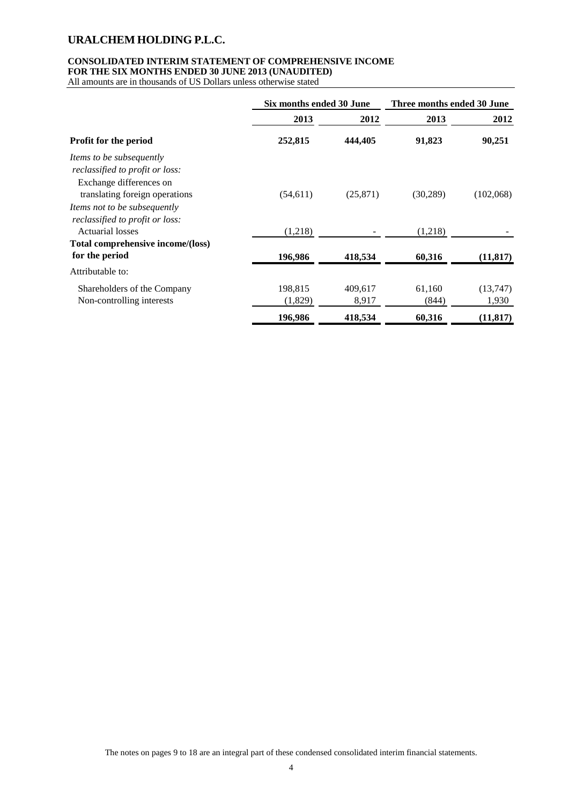### **CONSOLIDATED INTERIM STATEMENT OF COMPREHENSIVE INCOME FOR THE SIX MONTHS ENDED 30 JUNE 2013 (UNAUDITED)**

All amounts are in thousands of US Dollars unless otherwise stated

|                                                                                                   | Six months ended 30 June |           | Three months ended 30 June |           |
|---------------------------------------------------------------------------------------------------|--------------------------|-----------|----------------------------|-----------|
|                                                                                                   | 2013                     | 2012      | 2013                       | 2012      |
| <b>Profit for the period</b>                                                                      | 252,815                  | 444,405   | 91,823                     | 90,251    |
| <i>Items to be subsequently</i><br>reclassified to profit or loss:<br>Exchange differences on     |                          |           |                            |           |
| translating foreign operations<br>Items not to be subsequently<br>reclassified to profit or loss: | (54, 611)                | (25, 871) | (30, 289)                  | (102,068) |
| Actuarial losses                                                                                  | (1,218)                  |           | (1,218)                    |           |
| Total comprehensive income/(loss)                                                                 |                          |           |                            |           |
| for the period                                                                                    | 196,986                  | 418,534   | 60,316                     | (11, 817) |
| Attributable to:                                                                                  |                          |           |                            |           |
| Shareholders of the Company                                                                       | 198,815                  | 409,617   | 61,160                     | (13,747)  |
| Non-controlling interests                                                                         | (1,829)                  | 8,917     | (844)                      | 1,930     |
|                                                                                                   | 196,986                  | 418,534   | 60,316                     | (11, 817) |

The notes on pages 9 to 18 are an integral part of these condensed consolidated interim financial statements.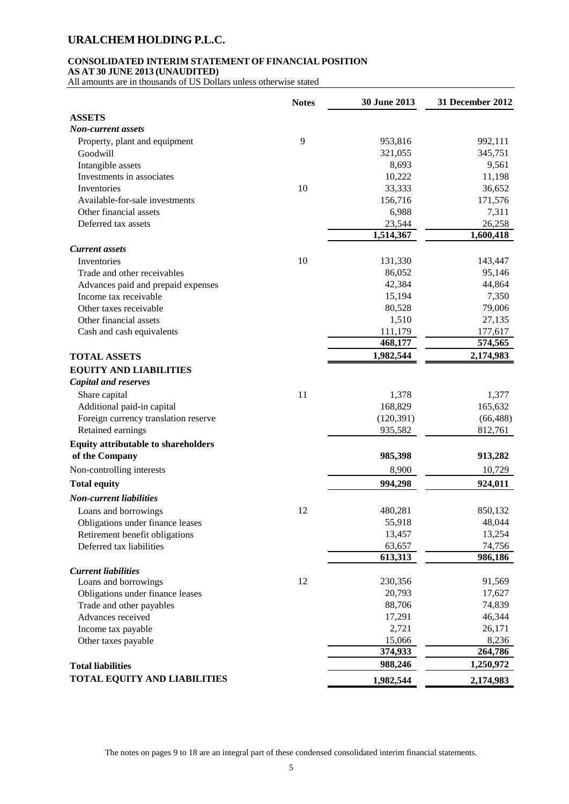### **CONSOLIDATED INTERIM STATEMENT OF FINANCIAL POSITION**

**AS AT 30 JUNE 2013 (UNAUDITED)**

All amounts are in thousands of US Dollars unless otherwise stated

|                                            | <b>Notes</b> | 30 June 2013 | 31 December 2012 |
|--------------------------------------------|--------------|--------------|------------------|
| <b>ASSETS</b>                              |              |              |                  |
| <b>Non-current assets</b>                  |              |              |                  |
| Property, plant and equipment              | 9            | 953,816      | 992,111          |
| Goodwill                                   |              | 321,055      | 345,751          |
| Intangible assets                          |              | 8,693        | 9,561            |
| Investments in associates                  |              | 10,222       | 11,198           |
| Inventories                                | 10           | 33,333       | 36,652           |
| Available-for-sale investments             |              | 156,716      | 171,576          |
| Other financial assets                     |              | 6,988        | 7,311            |
| Deferred tax assets                        |              | 23,544       | 26,258           |
|                                            |              | 1,514,367    | 1,600,418        |
| <b>Current</b> assets                      |              |              |                  |
| Inventories                                | 10           | 131,330      | 143,447          |
| Trade and other receivables                |              | 86,052       | 95,146           |
| Advances paid and prepaid expenses         |              | 42,384       | 44,864           |
| Income tax receivable                      |              | 15,194       | 7,350            |
| Other taxes receivable                     |              | 80,528       | 79,006           |
| Other financial assets                     |              | 1,510        | 27,135           |
| Cash and cash equivalents                  |              | 111,179      | 177,617          |
|                                            |              | 468,177      | 574,565          |
| <b>TOTAL ASSETS</b>                        |              | 1,982,544    | 2,174,983        |
| <b>EQUITY AND LIABILITIES</b>              |              |              |                  |
| <b>Capital and reserves</b>                |              |              |                  |
| Share capital                              | 11           | 1,378        | 1,377            |
| Additional paid-in capital                 |              | 168,829      | 165,632          |
| Foreign currency translation reserve       |              | (120, 391)   | (66, 488)        |
| Retained earnings                          |              | 935,582      | 812,761          |
|                                            |              |              |                  |
| <b>Equity attributable to shareholders</b> |              |              |                  |
| of the Company                             |              | 985,398      | 913,282          |
| Non-controlling interests                  |              | 8,900        | 10,729           |
| <b>Total equity</b>                        |              | 994,298      | 924,011          |
| <b>Non-current liabilities</b>             |              |              |                  |
| Loans and borrowings                       | 12           | 480,281      | 850,132          |
| Obligations under finance leases           |              | 55,918       | 48,044           |
| Retirement benefit obligations             |              | 13,457       | 13,254           |
| Deferred tax liabilities                   |              | 63,657       | 74,756           |
|                                            |              | 613,313      | 986,186          |
| <b>Current liabilities</b>                 |              |              |                  |
| Loans and borrowings                       | 12           | 230,356      | 91,569           |
| Obligations under finance leases           |              | 20,793       | 17,627           |
| Trade and other payables                   |              | 88,706       | 74,839           |
| Advances received                          |              | 17,291       | 46,344           |
| Income tax payable                         |              | 2,721        | 26,171           |
| Other taxes payable                        |              | 15,066       | 8,236            |
|                                            |              | 374,933      | 264,786          |
| <b>Total liabilities</b>                   |              | 988,246      | 1,250,972        |
| <b>TOTAL EQUITY AND LIABILITIES</b>        |              | 1,982,544    | 2,174,983        |
|                                            |              |              |                  |

The notes on pages 9 to 18 are an integral part of these condensed consolidated interim financial statements.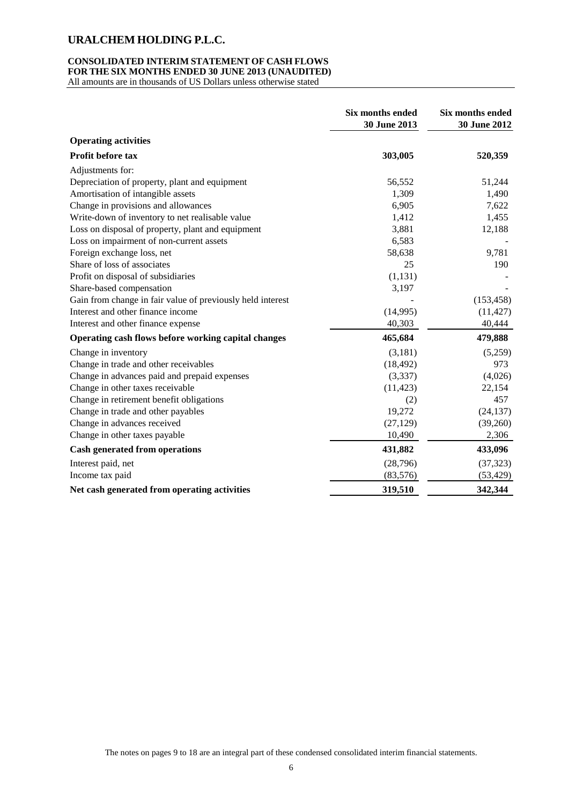### **CONSOLIDATED INTERIM STATEMENT OF CASH FLOWS FOR THE SIX MONTHS ENDED 30 JUNE 2013 (UNAUDITED)**

All amounts are in thousands of US Dollars unless otherwise stated

|                                                            | <b>Six months ended</b><br>30 June 2013 | Six months ended<br>30 June 2012 |
|------------------------------------------------------------|-----------------------------------------|----------------------------------|
| <b>Operating activities</b>                                |                                         |                                  |
| <b>Profit before tax</b>                                   | 303,005                                 | 520,359                          |
| Adjustments for:                                           |                                         |                                  |
| Depreciation of property, plant and equipment              | 56,552                                  | 51,244                           |
| Amortisation of intangible assets                          | 1,309                                   | 1,490                            |
| Change in provisions and allowances                        | 6,905                                   | 7,622                            |
| Write-down of inventory to net realisable value            | 1,412                                   | 1,455                            |
| Loss on disposal of property, plant and equipment          | 3,881                                   | 12,188                           |
| Loss on impairment of non-current assets                   | 6,583                                   |                                  |
| Foreign exchange loss, net                                 | 58,638                                  | 9,781                            |
| Share of loss of associates                                | 25                                      | 190                              |
| Profit on disposal of subsidiaries                         | (1, 131)                                |                                  |
| Share-based compensation                                   | 3,197                                   |                                  |
| Gain from change in fair value of previously held interest |                                         | (153, 458)                       |
| Interest and other finance income                          | (14,995)                                | (11, 427)                        |
| Interest and other finance expense                         | 40,303                                  | 40,444                           |
| Operating cash flows before working capital changes        | 465,684                                 | 479,888                          |
| Change in inventory                                        | (3,181)                                 | (5,259)                          |
| Change in trade and other receivables                      | (18, 492)                               | 973                              |
| Change in advances paid and prepaid expenses               | (3, 337)                                | (4,026)                          |
| Change in other taxes receivable                           | (11, 423)                               | 22,154                           |
| Change in retirement benefit obligations                   | (2)                                     | 457                              |
| Change in trade and other payables                         | 19,272                                  | (24, 137)                        |
| Change in advances received                                | (27, 129)                               | (39,260)                         |
| Change in other taxes payable                              | 10,490                                  | 2,306                            |
| <b>Cash generated from operations</b>                      | 431,882                                 | 433,096                          |
| Interest paid, net                                         | (28,796)                                | (37, 323)                        |
| Income tax paid                                            | (83, 576)                               | (53, 429)                        |
| Net cash generated from operating activities               | 319,510                                 | 342,344                          |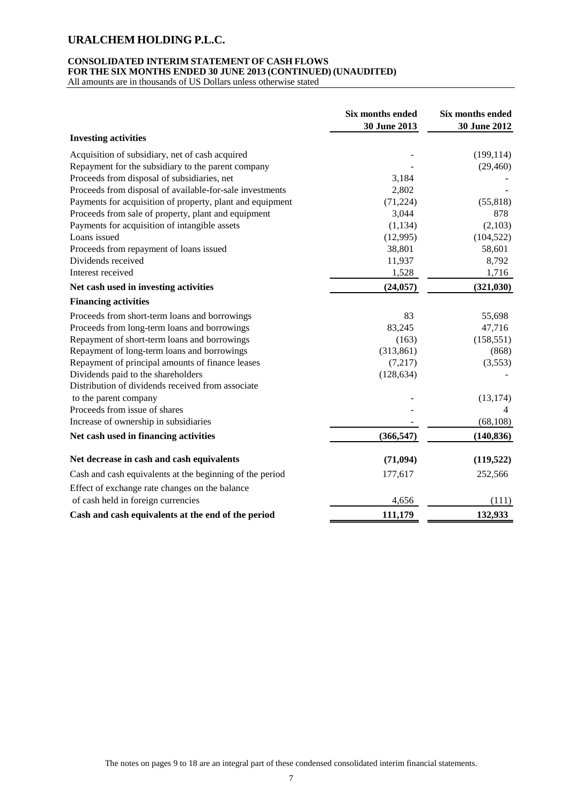### **CONSOLIDATED INTERIM STATEMENT OF CASH FLOWS FOR THE SIX MONTHS ENDED 30 JUNE 2013 (CONTINUED) (UNAUDITED)**

All amounts are in thousands of US Dollars unless otherwise stated

|                                                           | Six months ended<br>30 June 2013 | Six months ended<br>30 June 2012 |
|-----------------------------------------------------------|----------------------------------|----------------------------------|
| <b>Investing activities</b>                               |                                  |                                  |
| Acquisition of subsidiary, net of cash acquired           |                                  | (199, 114)                       |
| Repayment for the subsidiary to the parent company        |                                  | (29, 460)                        |
| Proceeds from disposal of subsidiaries, net               | 3,184                            |                                  |
| Proceeds from disposal of available-for-sale investments  | 2,802                            |                                  |
| Payments for acquisition of property, plant and equipment | (71, 224)                        | (55, 818)                        |
| Proceeds from sale of property, plant and equipment       | 3,044                            | 878                              |
| Payments for acquisition of intangible assets             | (1, 134)                         | (2,103)                          |
| Loans issued                                              | (12,995)                         | (104, 522)                       |
| Proceeds from repayment of loans issued                   | 38,801                           | 58,601                           |
| Dividends received                                        | 11,937                           | 8,792                            |
| Interest received                                         | 1,528                            | 1,716                            |
| Net cash used in investing activities                     | (24, 057)                        | (321, 030)                       |
| <b>Financing activities</b>                               |                                  |                                  |
| Proceeds from short-term loans and borrowings             | 83                               | 55,698                           |
| Proceeds from long-term loans and borrowings              | 83,245                           | 47,716                           |
| Repayment of short-term loans and borrowings              | (163)                            | (158, 551)                       |
| Repayment of long-term loans and borrowings               | (313, 861)                       | (868)                            |
| Repayment of principal amounts of finance leases          | (7,217)                          | (3,553)                          |
| Dividends paid to the shareholders                        | (128, 634)                       |                                  |
| Distribution of dividends received from associate         |                                  |                                  |
| to the parent company                                     |                                  | (13, 174)                        |
| Proceeds from issue of shares                             |                                  | 4                                |
| Increase of ownership in subsidiaries                     |                                  | (68, 108)                        |
| Net cash used in financing activities                     | (366, 547)                       | (140, 836)                       |
| Net decrease in cash and cash equivalents                 | (71, 094)                        | (119, 522)                       |
|                                                           |                                  |                                  |
| Cash and cash equivalents at the beginning of the period  | 177,617                          | 252,566                          |
| Effect of exchange rate changes on the balance            |                                  |                                  |
| of cash held in foreign currencies                        | 4,656                            | (111)                            |
| Cash and cash equivalents at the end of the period        | 111,179                          | 132,933                          |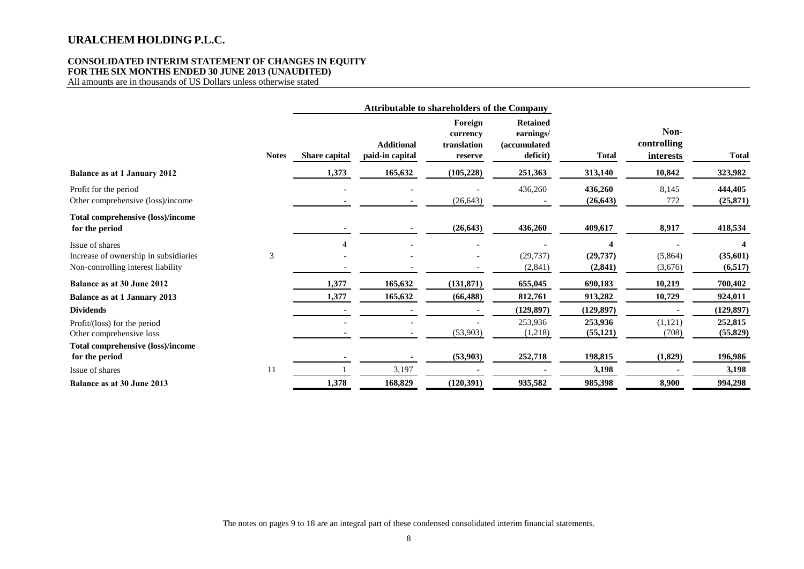### **CONSOLIDATED INTERIM STATEMENT OF CHANGES IN EQUITY FOR THE SIX MONTHS ENDED 30 JUNE 2013 (UNAUDITED)**

All amounts are in thousands of US Dollars unless otherwise stated

|                                                                                                |              |                      | <b>Attributable to shareholders of the Company</b> |                                               |                                                                  |                            |                                  |                      |
|------------------------------------------------------------------------------------------------|--------------|----------------------|----------------------------------------------------|-----------------------------------------------|------------------------------------------------------------------|----------------------------|----------------------------------|----------------------|
|                                                                                                | <b>Notes</b> | <b>Share capital</b> | <b>Additional</b><br>paid-in capital               | Foreign<br>currency<br>translation<br>reserve | <b>Retained</b><br>earnings/<br><i>(accumulated)</i><br>deficit) | <b>Total</b>               | Non-<br>controlling<br>interests | <b>Total</b>         |
| <b>Balance as at 1 January 2012</b>                                                            |              | 1,373                | 165,632                                            | (105, 228)                                    | 251,363                                                          | 313,140                    | 10,842                           | 323,982              |
| Profit for the period<br>Other comprehensive (loss)/income                                     |              |                      |                                                    | (26, 643)                                     | 436,260                                                          | 436,260<br>(26, 643)       | 8,145<br>772                     | 444,405<br>(25, 871) |
| Total comprehensive (loss)/income<br>for the period                                            |              |                      |                                                    | (26, 643)                                     | 436,260                                                          | 409,617                    | 8,917                            | 418,534              |
| Issue of shares<br>Increase of ownership in subsidiaries<br>Non-controlling interest liability | 3            | $\overline{4}$       |                                                    |                                               | (29, 737)<br>(2, 841)                                            | Δ<br>(29, 737)<br>(2, 841) | (5,864)<br>(3,676)               | (35,601)<br>(6,517)  |
| Balance as at 30 June 2012                                                                     |              | 1,377                | 165,632                                            | (131,871)                                     | 655,045                                                          | 690,183                    | 10,219                           | 700,402              |
| <b>Balance as at 1 January 2013</b>                                                            |              | 1,377                | 165,632                                            | (66, 488)                                     | 812,761                                                          | 913,282                    | 10,729                           | 924,011              |
| <b>Dividends</b>                                                                               |              |                      |                                                    |                                               | (129, 897)                                                       | (129, 897)                 |                                  | (129, 897)           |
| Profit/(loss) for the period<br>Other comprehensive loss                                       |              |                      |                                                    | (53,903)                                      | 253,936<br>(1,218)                                               | 253,936<br>(55, 121)       | (1,121)<br>(708)                 | 252,815<br>(55, 829) |
| <b>Total comprehensive (loss)/income</b>                                                       |              |                      |                                                    |                                               |                                                                  |                            |                                  |                      |
| for the period                                                                                 |              |                      |                                                    | (53,903)                                      | 252,718                                                          | 198,815                    | (1,829)                          | 196,986              |
| Issue of shares                                                                                | 11           |                      | 3,197                                              |                                               |                                                                  | 3,198                      |                                  | 3,198                |
| Balance as at 30 June 2013                                                                     |              | 1,378                | 168,829                                            | (120,391)                                     | 935,582                                                          | 985,398                    | 8,900                            | 994,298              |

The notes on pages 9 to 18 are an integral part of these condensed consolidated interim financial statements.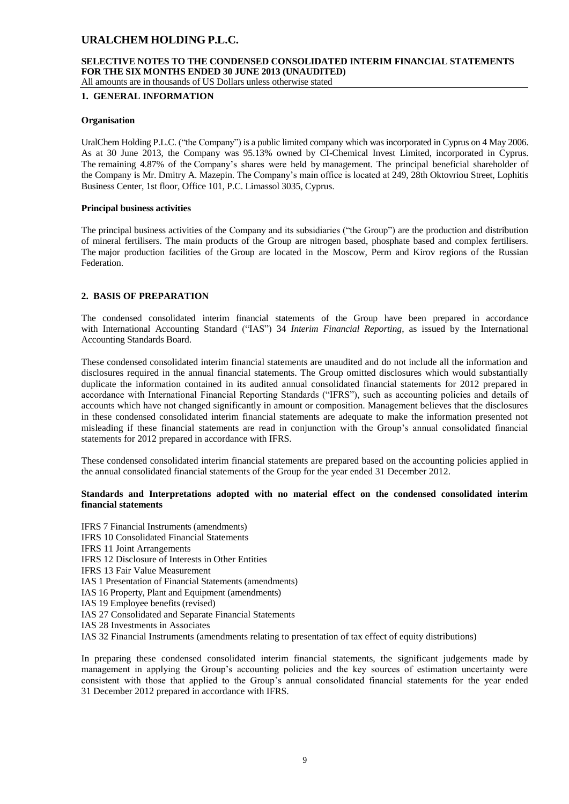### **SELECTIVE NOTES TO THE CONDENSED CONSOLIDATED INTERIM FINANCIAL STATEMENTS FOR THE SIX MONTHS ENDED 30 JUNE 2013 (UNAUDITED)**

All amounts are in thousands of US Dollars unless otherwise stated

### **1. GENERAL INFORMATION**

### **Organisation**

UralChem Holding P.L.C. ("the Company") is a public limited company which was incorporated in Cyprus on 4 May 2006. As at 30 June 2013, the Company was 95.13% owned by CI-Chemical Invest Limited, incorporated in Cyprus. The remaining 4.87% of the Company's shares were held by management. The principal beneficial shareholder of the Company is Mr. Dmitry A. Mazepin. The Company's main office is located at 249, 28th Oktovriou Street, Lophitis Business Center, 1st floor, Office 101, P.C. Limassol 3035, Cyprus.

### **Principal business activities**

The principal business activities of the Company and its subsidiaries ("the Group") are the production and distribution of mineral fertilisers. The main products of the Group are nitrogen based, phosphate based and complex fertilisers. The major production facilities of the Group are located in the Moscow, Perm and Kirov regions of the Russian Federation.

### **2. BASIS OF PREPARATION**

The condensed consolidated interim financial statements of the Group have been prepared in accordance with International Accounting Standard ("IAS") 34 *Interim Financial Reporting*, as issued by the International Accounting Standards Board.

These condensed consolidated interim financial statements are unaudited and do not include all the information and disclosures required in the annual financial statements. The Group omitted disclosures which would substantially duplicate the information contained in its audited annual consolidated financial statements for 2012 prepared in accordance with International Financial Reporting Standards ("IFRS"), such as accounting policies and details of accounts which have not changed significantly in amount or composition. Management believes that the disclosures in these condensed consolidated interim financial statements are adequate to make the information presented not misleading if these financial statements are read in conjunction with the Group's annual consolidated financial statements for 2012 prepared in accordance with IFRS.

These condensed consolidated interim financial statements are prepared based on the accounting policies applied in the annual consolidated financial statements of the Group for the year ended 31 December 2012.

### **Standards and Interpretations adopted with no material effect on the condensed consolidated interim financial statements**

IFRS 7 Financial Instruments (amendments) IFRS 10 Consolidated Financial Statements IFRS 11 Joint Arrangements IFRS 12 Disclosure of Interests in Other Entities IFRS 13 Fair Value Measurement IAS 1 Presentation of Financial Statements (amendments) IAS 16 Property, Plant and Equipment (amendments) IAS 19 Employee benefits (revised) IAS 27 Consolidated and Separate Financial Statements IAS 28 Investments in Associates IAS 32 Financial Instruments (amendments relating to presentation of tax effect of equity distributions)

In preparing these condensed consolidated interim financial statements, the significant judgements made by management in applying the Group's accounting policies and the key sources of estimation uncertainty were consistent with those that applied to the Group's annual consolidated financial statements for the year ended 31 December 2012 prepared in accordance with IFRS.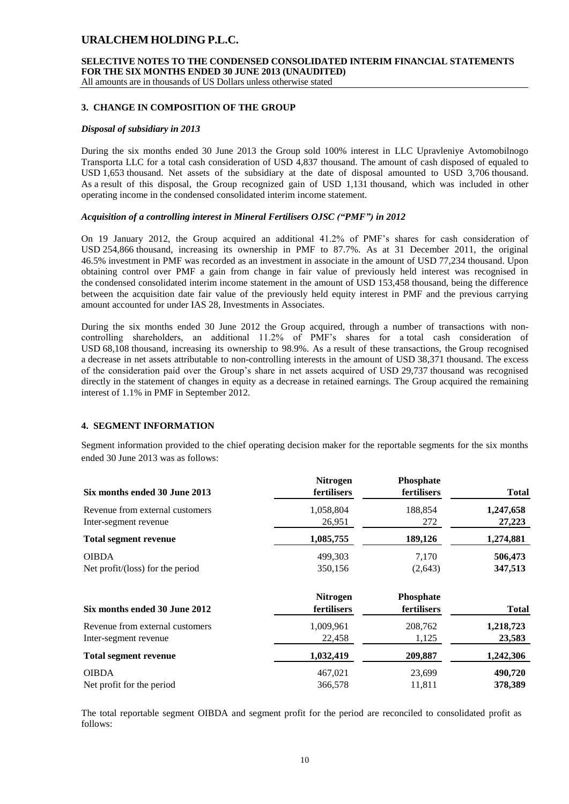**SELECTIVE NOTES TO THE CONDENSED CONSOLIDATED INTERIM FINANCIAL STATEMENTS FOR THE SIX MONTHS ENDED 30 JUNE 2013 (UNAUDITED)**

All amounts are in thousands of US Dollars unless otherwise stated

### **3. CHANGE IN COMPOSITION OF THE GROUP**

### *Disposal of subsidiary in 2013*

During the six months ended 30 June 2013 the Group sold 100% interest in LLC Upravleniye Avtomobilnogo Transporta LLC for a total cash consideration of USD 4,837 thousand. The amount of cash disposed of equaled to USD 1,653 thousand. Net assets of the subsidiary at the date of disposal amounted to USD 3,706 thousand. As a result of this disposal, the Group recognized gain of USD 1,131 thousand, which was included in other operating income in the condensed consolidated interim income statement.

### *Acquisition of a controlling interest in Mineral Fertilisers OJSC ("PMF") in 2012*

On 19 January 2012, the Group acquired an additional 41.2% of PMF's shares for cash consideration of USD 254,866 thousand, increasing its ownership in PMF to 87.7%. As at 31 December 2011, the original 46.5% investment in PMF was recorded as an investment in associate in the amount of USD 77,234 thousand. Upon obtaining control over PMF a gain from change in fair value of previously held interest was recognised in the condensed consolidated interim income statement in the amount of USD 153,458 thousand, being the difference between the acquisition date fair value of the previously held equity interest in PMF and the previous carrying amount accounted for under IAS 28, Investments in Associates.

During the six months ended 30 June 2012 the Group acquired, through a number of transactions with noncontrolling shareholders, an additional 11.2% of PMF's shares for a total cash consideration of USD 68,108 thousand, increasing its ownership to 98.9%. As a result of these transactions, the Group recognised a decrease in net assets attributable to non-controlling interests in the amount of USD 38,371 thousand. The excess of the consideration paid over the Group's share in net assets acquired of USD 29,737 thousand was recognised directly in the statement of changes in equity as a decrease in retained earnings. The Group acquired the remaining interest of 1.1% in PMF in September 2012.

### **4. SEGMENT INFORMATION**

Segment information provided to the chief operating decision maker for the reportable segments for the six months ended 30 June 2013 was as follows:

| Six months ended 30 June 2013              | <b>Nitrogen</b><br>fertilisers | Phosphate<br>fertilisers | <b>Total</b> |
|--------------------------------------------|--------------------------------|--------------------------|--------------|
| Revenue from external customers            | 1,058,804                      | 188,854                  | 1,247,658    |
| Inter-segment revenue                      | 26,951                         | 272                      | 27,223       |
| <b>Total segment revenue</b>               | 1,085,755                      | 189,126                  | 1,274,881    |
| <b>OIBDA</b>                               | 499,303                        | 7,170                    | 506,473      |
| Net profit/ $(\text{loss})$ for the period | 350,156                        | (2,643)                  | 347,513      |
| Six months ended 30 June 2012              | <b>Nitrogen</b><br>fertilisers | Phosphate<br>fertilisers | <b>Total</b> |
| Revenue from external customers            | 1,009,961                      | 208,762                  | 1,218,723    |
| Inter-segment revenue                      | 22,458                         | 1,125                    | 23,583       |
| Total segment revenue                      | 1,032,419                      | 209,887                  | 1,242,306    |
| <b>OIBDA</b>                               | 467,021                        | 23,699                   | 490,720      |
| Net profit for the period                  | 366,578                        | 11,811                   | 378,389      |

The total reportable segment OIBDA and segment profit for the period are reconciled to consolidated profit as follows: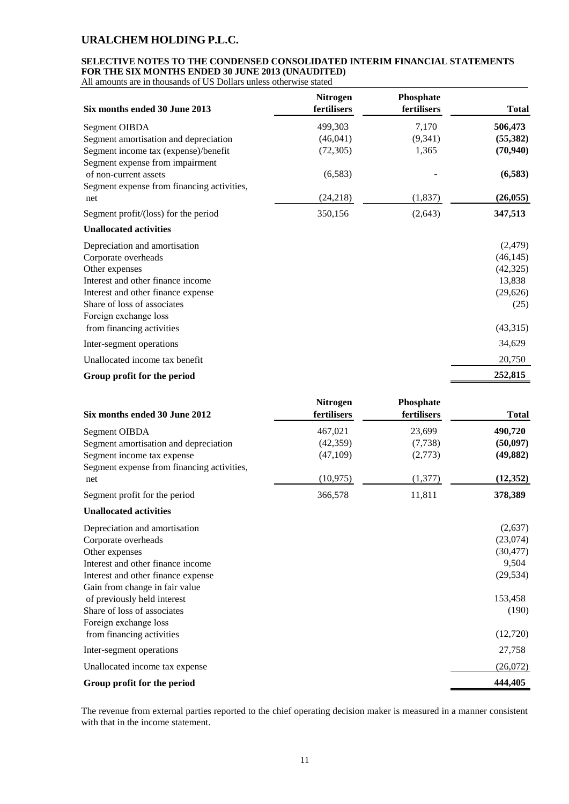### **SELECTIVE NOTES TO THE CONDENSED CONSOLIDATED INTERIM FINANCIAL STATEMENTS FOR THE SIX MONTHS ENDED 30 JUNE 2013 (UNAUDITED)**

All amounts are in thousands of US Dollars unless otherwise stated

| Six months ended 30 June 2013              | <b>Nitrogen</b><br>fertilisers | Phosphate<br>fertilisers | <b>Total</b> |
|--------------------------------------------|--------------------------------|--------------------------|--------------|
| Segment OIBDA                              | 499,303                        | 7,170                    | 506,473      |
| Segment amortisation and depreciation      | (46, 041)                      | (9, 341)                 | (55, 382)    |
| Segment income tax (expense)/benefit       | (72, 305)                      | 1,365                    | (70, 940)    |
| Segment expense from impairment            |                                |                          |              |
| of non-current assets                      | (6, 583)                       |                          | (6,583)      |
| Segment expense from financing activities, |                                |                          |              |
| net                                        | (24,218)                       | (1,837)                  | (26, 055)    |
| Segment profit/(loss) for the period       | 350,156                        | (2,643)                  | 347,513      |
| <b>Unallocated activities</b>              |                                |                          |              |
| Depreciation and amortisation              |                                |                          | (2, 479)     |
| Corporate overheads                        |                                |                          | (46, 145)    |
| Other expenses                             |                                |                          | (42, 325)    |
| Interest and other finance income          |                                |                          | 13,838       |
| Interest and other finance expense         |                                |                          | (29, 626)    |
| Share of loss of associates                |                                |                          | (25)         |
| Foreign exchange loss                      |                                |                          |              |
| from financing activities                  |                                |                          | (43,315)     |
| Inter-segment operations                   |                                |                          | 34,629       |
| Unallocated income tax benefit             |                                |                          | 20,750       |
| Group profit for the period                |                                |                          | 252,815      |
|                                            |                                |                          |              |

| Six months ended 30 June 2012              | <b>Nitrogen</b><br>fertilisers | Phosphate<br>fertilisers | <b>Total</b> |
|--------------------------------------------|--------------------------------|--------------------------|--------------|
| Segment OIBDA                              | 467,021                        | 23,699                   | 490,720      |
| Segment amortisation and depreciation      | (42, 359)                      | (7, 738)                 | (50, 097)    |
| Segment income tax expense                 | (47,109)                       | (2,773)                  | (49, 882)    |
| Segment expense from financing activities, |                                |                          |              |
| net                                        | (10, 975)                      | (1,377)                  | (12, 352)    |
| Segment profit for the period              | 366,578                        | 11,811                   | 378,389      |
| <b>Unallocated activities</b>              |                                |                          |              |
| Depreciation and amortisation              |                                |                          | (2,637)      |
| Corporate overheads                        |                                |                          | (23,074)     |
| Other expenses                             |                                |                          | (30, 477)    |
| Interest and other finance income          |                                |                          | 9,504        |
| Interest and other finance expense         |                                |                          | (29, 534)    |
| Gain from change in fair value             |                                |                          |              |
| of previously held interest                |                                |                          | 153,458      |
| Share of loss of associates                |                                |                          | (190)        |
| Foreign exchange loss                      |                                |                          |              |
| from financing activities                  |                                |                          | (12,720)     |
| Inter-segment operations                   |                                |                          | 27,758       |
| Unallocated income tax expense             |                                |                          | (26,072)     |
| Group profit for the period                |                                |                          | 444,405      |

The revenue from external parties reported to the chief operating decision maker is measured in a manner consistent with that in the income statement.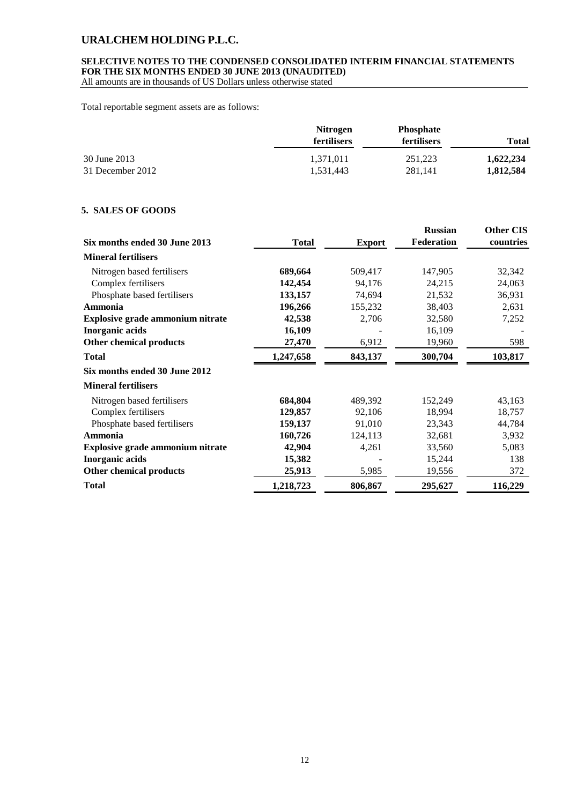# **SELECTIVE NOTES TO THE CONDENSED CONSOLIDATED INTERIM FINANCIAL STATEMENTS FOR THE SIX MONTHS ENDED 30 JUNE 2013 (UNAUDITED)**

All amounts are in thousands of US Dollars unless otherwise stated

Total reportable segment assets are as follows:

|                  | <b>Nitrogen</b><br><b>fertilisers</b> | <b>Phosphate</b><br>fertilisers | <b>Total</b> |
|------------------|---------------------------------------|---------------------------------|--------------|
| 30 June 2013     | 1,371,011                             | 251,223                         | 1,622,234    |
| 31 December 2012 | 1,531,443                             | 281.141                         | 1,812,584    |

### **5. SALES OF GOODS**

| Six months ended 30 June 2013           | <b>Total</b> | <b>Export</b> | <b>Russian</b><br>Federation | <b>Other CIS</b><br>countries |
|-----------------------------------------|--------------|---------------|------------------------------|-------------------------------|
| <b>Mineral fertilisers</b>              |              |               |                              |                               |
| Nitrogen based fertilisers              | 689,664      | 509,417       | 147,905                      | 32,342                        |
| Complex fertilisers                     | 142,454      | 94,176        | 24,215                       | 24,063                        |
| Phosphate based fertilisers             | 133,157      | 74,694        | 21,532                       | 36,931                        |
| Ammonia                                 | 196,266      | 155,232       | 38,403                       | 2,631                         |
| <b>Explosive grade ammonium nitrate</b> | 42,538       | 2,706         | 32,580                       | 7,252                         |
| <b>Inorganic acids</b>                  | 16,109       |               | 16,109                       |                               |
| <b>Other chemical products</b>          | 27,470       | 6,912         | 19,960                       | 598                           |
| <b>Total</b>                            | 1,247,658    | 843,137       | 300,704                      | 103,817                       |
| Six months ended 30 June 2012           |              |               |                              |                               |
| <b>Mineral fertilisers</b>              |              |               |                              |                               |
| Nitrogen based fertilisers              | 684,804      | 489,392       | 152,249                      | 43,163                        |
| Complex fertilisers                     | 129,857      | 92,106        | 18,994                       | 18,757                        |
| Phosphate based fertilisers             | 159,137      | 91,010        | 23,343                       | 44,784                        |
| Ammonia                                 | 160,726      | 124,113       | 32,681                       | 3,932                         |
| Explosive grade ammonium nitrate        | 42,904       | 4,261         | 33,560                       | 5,083                         |
| <b>Inorganic acids</b>                  | 15,382       |               | 15,244                       | 138                           |
| Other chemical products                 | 25,913       | 5,985         | 19,556                       | 372                           |
| <b>Total</b>                            | 1,218,723    | 806,867       | 295,627                      | 116,229                       |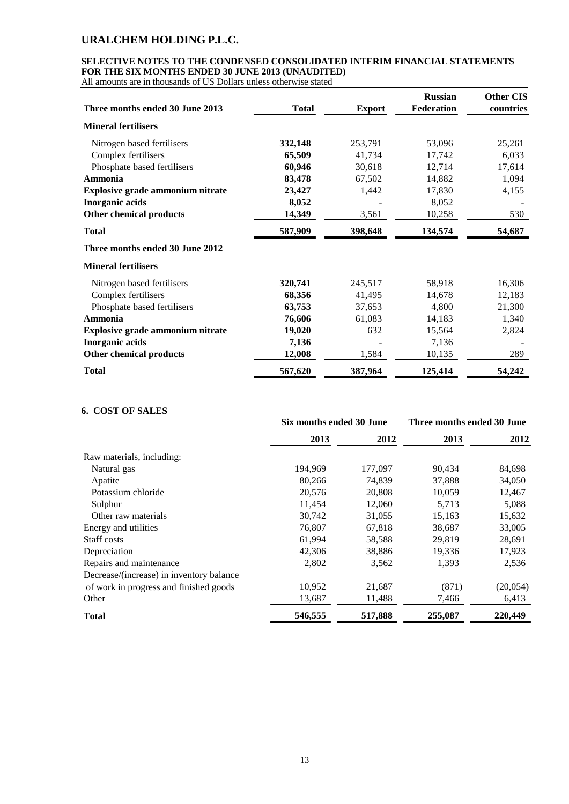## **SELECTIVE NOTES TO THE CONDENSED CONSOLIDATED INTERIM FINANCIAL STATEMENTS FOR THE SIX MONTHS ENDED 30 JUNE 2013 (UNAUDITED)**

All amounts are in thousands of US Dollars unless otherwise stated

| Three months ended 30 June 2013  | <b>Total</b> | <b>Export</b> | <b>Russian</b><br>Federation | <b>Other CIS</b><br>countries |
|----------------------------------|--------------|---------------|------------------------------|-------------------------------|
| <b>Mineral fertilisers</b>       |              |               |                              |                               |
| Nitrogen based fertilisers       | 332,148      | 253,791       | 53,096                       | 25,261                        |
| Complex fertilisers              | 65,509       | 41,734        | 17,742                       | 6,033                         |
| Phosphate based fertilisers      | 60,946       | 30,618        | 12,714                       | 17,614                        |
| Ammonia                          | 83,478       | 67,502        | 14,882                       | 1,094                         |
| Explosive grade ammonium nitrate | 23,427       | 1,442         | 17,830                       | 4,155                         |
| <b>Inorganic acids</b>           | 8,052        |               | 8,052                        |                               |
| Other chemical products          | 14,349       | 3,561         | 10,258                       | 530                           |
| <b>Total</b>                     | 587,909      | 398,648       | 134,574                      | 54,687                        |
| Three months ended 30 June 2012  |              |               |                              |                               |
| <b>Mineral fertilisers</b>       |              |               |                              |                               |
| Nitrogen based fertilisers       | 320,741      | 245,517       | 58,918                       | 16,306                        |
| Complex fertilisers              | 68,356       | 41,495        | 14,678                       | 12,183                        |
| Phosphate based fertilisers      | 63,753       | 37,653        | 4,800                        | 21,300                        |
| Ammonia                          | 76,606       | 61,083        | 14,183                       | 1,340                         |
| Explosive grade ammonium nitrate | 19,020       | 632           | 15,564                       | 2,824                         |
| <b>Inorganic acids</b>           | 7,136        |               | 7,136                        |                               |
| Other chemical products          | 12,008       | 1,584         | 10,135                       | 289                           |
| <b>Total</b>                     | 567,620      | 387,964       | 125,414                      | 54,242                        |

### **6. COST OF SALES**

|                                          | Six months ended 30 June |         | Three months ended 30 June |          |
|------------------------------------------|--------------------------|---------|----------------------------|----------|
|                                          | 2013                     | 2012    | 2013                       | 2012     |
| Raw materials, including:                |                          |         |                            |          |
| Natural gas                              | 194,969                  | 177,097 | 90,434                     | 84,698   |
| Apatite                                  | 80,266                   | 74,839  | 37,888                     | 34,050   |
| Potassium chloride                       | 20,576                   | 20,808  | 10,059                     | 12,467   |
| Sulphur                                  | 11,454                   | 12,060  | 5,713                      | 5,088    |
| Other raw materials                      | 30,742                   | 31,055  | 15,163                     | 15,632   |
| Energy and utilities                     | 76,807                   | 67,818  | 38,687                     | 33,005   |
| Staff costs                              | 61,994                   | 58,588  | 29,819                     | 28,691   |
| Depreciation                             | 42,306                   | 38,886  | 19,336                     | 17,923   |
| Repairs and maintenance                  | 2,802                    | 3,562   | 1,393                      | 2,536    |
| Decrease/(increase) in inventory balance |                          |         |                            |          |
| of work in progress and finished goods   | 10,952                   | 21,687  | (871)                      | (20,054) |
| Other                                    | 13,687                   | 11,488  | 7,466                      | 6,413    |
| Total                                    | 546,555                  | 517,888 | 255,087                    | 220,449  |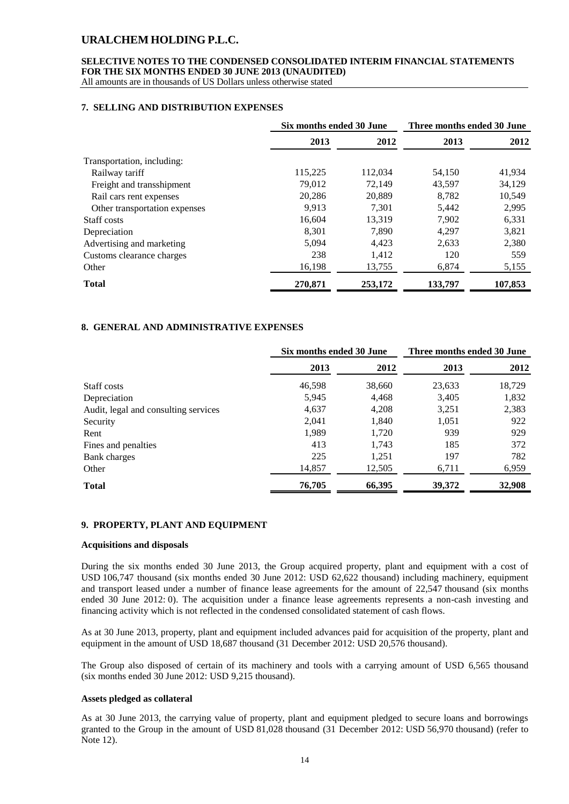### **SELECTIVE NOTES TO THE CONDENSED CONSOLIDATED INTERIM FINANCIAL STATEMENTS FOR THE SIX MONTHS ENDED 30 JUNE 2013 (UNAUDITED)**

All amounts are in thousands of US Dollars unless otherwise stated

### **7. SELLING AND DISTRIBUTION EXPENSES**

|                               | Six months ended 30 June |         | Three months ended 30 June |         |
|-------------------------------|--------------------------|---------|----------------------------|---------|
|                               | 2013                     | 2012    | 2013                       | 2012    |
| Transportation, including:    |                          |         |                            |         |
| Railway tariff                | 115,225                  | 112,034 | 54,150                     | 41,934  |
| Freight and transshipment     | 79,012                   | 72.149  | 43,597                     | 34,129  |
| Rail cars rent expenses       | 20,286                   | 20,889  | 8,782                      | 10,549  |
| Other transportation expenses | 9.913                    | 7.301   | 5,442                      | 2,995   |
| Staff costs                   | 16,604                   | 13,319  | 7,902                      | 6,331   |
| Depreciation                  | 8.301                    | 7.890   | 4,297                      | 3,821   |
| Advertising and marketing     | 5,094                    | 4.423   | 2,633                      | 2,380   |
| Customs clearance charges     | 238                      | 1,412   | 120                        | 559     |
| Other                         | 16,198                   | 13,755  | 6,874                      | 5,155   |
| <b>Total</b>                  | 270,871                  | 253,172 | 133,797                    | 107,853 |

### **8. GENERAL AND ADMINISTRATIVE EXPENSES**

|                                      | Six months ended 30 June |        | Three months ended 30 June |        |
|--------------------------------------|--------------------------|--------|----------------------------|--------|
|                                      | 2013                     | 2012   | 2013                       | 2012   |
| Staff costs                          | 46,598                   | 38,660 | 23,633                     | 18,729 |
| Depreciation                         | 5,945                    | 4.468  | 3,405                      | 1,832  |
| Audit, legal and consulting services | 4,637                    | 4,208  | 3,251                      | 2,383  |
| Security                             | 2,041                    | 1,840  | 1,051                      | 922    |
| Rent                                 | 1,989                    | 1,720  | 939                        | 929    |
| Fines and penalties                  | 413                      | 1.743  | 185                        | 372    |
| Bank charges                         | 225                      | 1,251  | 197                        | 782    |
| Other                                | 14,857                   | 12,505 | 6,711                      | 6,959  |
| <b>Total</b>                         | 76,705                   | 66,395 | 39,372                     | 32,908 |

### **9. PROPERTY, PLANT AND EQUIPMENT**

### **Acquisitions and disposals**

During the six months ended 30 June 2013, the Group acquired property, plant and equipment with a cost of USD 106,747 thousand (six months ended 30 June 2012: USD 62,622 thousand) including machinery, equipment and transport leased under a number of finance lease agreements for the amount of 22,547 thousand (six months ended 30 June 2012: 0). The acquisition under a finance lease agreements represents a non-cash investing and financing activity which is not reflected in the condensed consolidated statement of cash flows.

As at 30 June 2013, property, plant and equipment included advances paid for acquisition of the property, plant and equipment in the amount of USD 18,687 thousand (31 December 2012: USD 20,576 thousand).

The Group also disposed of certain of its machinery and tools with a carrying amount of USD 6,565 thousand (six months ended 30 June 2012: USD 9,215 thousand).

### **Assets pledged as collateral**

As at 30 June 2013, the carrying value of property, plant and equipment pledged to secure loans and borrowings granted to the Group in the amount of USD 81,028 thousand (31 December 2012: USD 56,970 thousand) (refer to Note 12).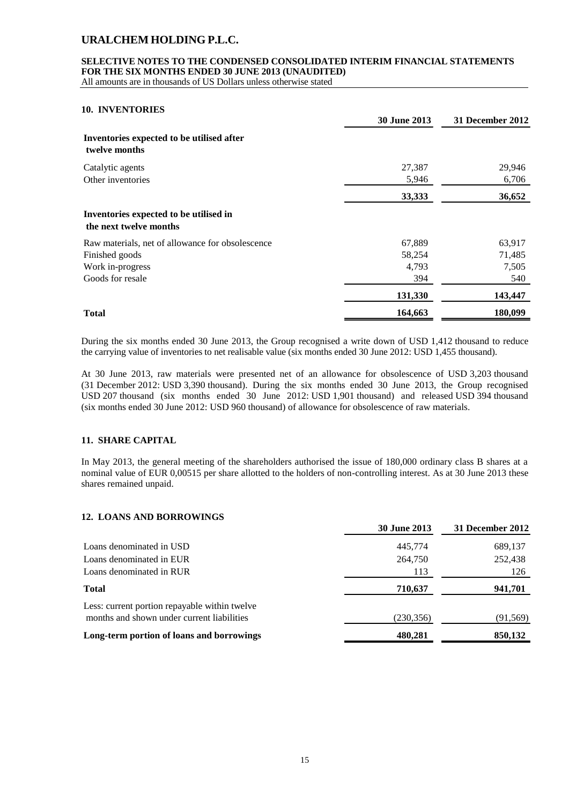### **SELECTIVE NOTES TO THE CONDENSED CONSOLIDATED INTERIM FINANCIAL STATEMENTS FOR THE SIX MONTHS ENDED 30 JUNE 2013 (UNAUDITED)**

All amounts are in thousands of US Dollars unless otherwise stated

### **10. INVENTORIES**

|                                                                  | <b>30 June 2013</b> | 31 December 2012 |
|------------------------------------------------------------------|---------------------|------------------|
| Inventories expected to be utilised after<br>twelve months       |                     |                  |
| Catalytic agents                                                 | 27,387              | 29,946           |
| Other inventories                                                | 5,946               | 6,706            |
|                                                                  | 33,333              | 36,652           |
| Inventories expected to be utilised in<br>the next twelve months |                     |                  |
| Raw materials, net of allowance for obsolescence                 | 67,889              | 63,917           |
| Finished goods                                                   | 58,254              | 71,485           |
| Work in-progress                                                 | 4,793               | 7,505            |
| Goods for resale                                                 | 394                 | 540              |
|                                                                  | 131,330             | 143,447          |
| <b>Total</b>                                                     | 164,663             | 180,099          |

During the six months ended 30 June 2013, the Group recognised a write down of USD 1,412 thousand to reduce the carrying value of inventories to net realisable value (six months ended 30 June 2012: USD 1,455 thousand).

At 30 June 2013, raw materials were presented net of an allowance for obsolescence of USD 3,203 thousand (31 December 2012: USD 3,390 thousand). During the six months ended 30 June 2013, the Group recognised USD 207 thousand (six months ended 30 June 2012: USD 1,901 thousand) and released USD 394 thousand (six months ended 30 June 2012: USD 960 thousand) of allowance for obsolescence of raw materials.

### **11. SHARE CAPITAL**

In May 2013, the general meeting of the shareholders authorised the issue of 180,000 ordinary class B shares at a nominal value of EUR 0,00515 per share allotted to the holders of non-controlling interest. As at 30 June 2013 these shares remained unpaid.

### **12. LOANS AND BORROWINGS**

| <b>30 June 2013</b> | 31 December 2012 |
|---------------------|------------------|
| 445,774             | 689,137          |
| 264,750             | 252,438          |
| 113                 | 126              |
| 710,637             | 941,701          |
|                     |                  |
| (230, 356)          | (91, 569)        |
| 480,281             | 850,132          |
|                     |                  |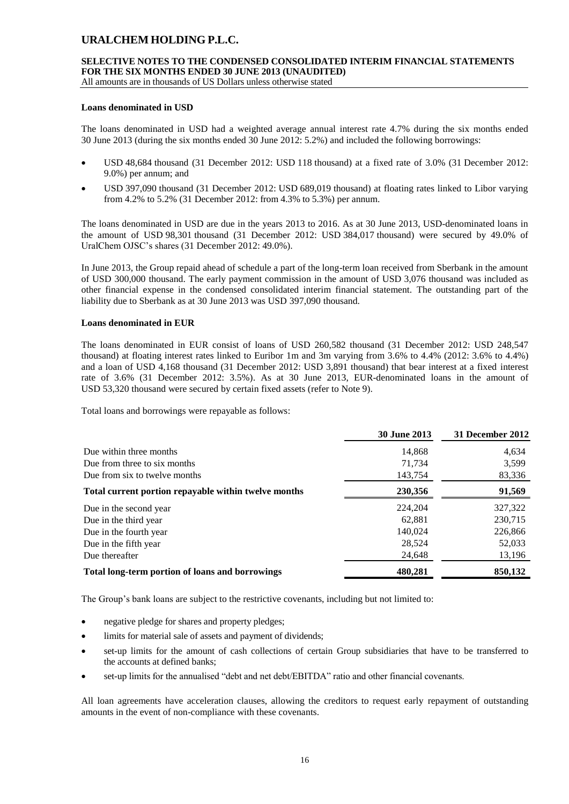# **SELECTIVE NOTES TO THE CONDENSED CONSOLIDATED INTERIM FINANCIAL STATEMENTS FOR THE SIX MONTHS ENDED 30 JUNE 2013 (UNAUDITED)**

All amounts are in thousands of US Dollars unless otherwise stated

### **Loans denominated in USD**

The loans denominated in USD had a weighted average annual interest rate 4.7% during the six months ended 30 June 2013 (during the six months ended 30 June 2012: 5.2%) and included the following borrowings:

- USD 48,684 thousand (31 December 2012: USD 118 thousand) at a fixed rate of 3.0% (31 December 2012: 9.0%) per annum; and
- USD 397,090 thousand (31 December 2012: USD 689,019 thousand) at floating rates linked to Libor varying from 4.2% to 5.2% (31 December 2012: from 4.3% to 5.3%) per annum.

The loans denominated in USD are due in the years 2013 to 2016. As at 30 June 2013, USD-denominated loans in the amount of USD 98,301 thousand (31 December 2012: USD 384,017 thousand) were secured by 49.0% of UralChem OJSC's shares (31 December 2012: 49.0%).

In June 2013, the Group repaid ahead of schedule a part of the long-term loan received from Sberbank in the amount of USD 300,000 thousand. The early payment commission in the amount of USD 3,076 thousand was included as other financial expense in the condensed consolidated interim financial statement. The outstanding part of the liability due to Sberbank as at 30 June 2013 was USD 397,090 thousand.

### **Loans denominated in EUR**

The loans denominated in EUR consist of loans of USD 260,582 thousand (31 December 2012: USD 248,547 thousand) at floating interest rates linked to Euribor 1m and 3m varying from 3.6% to 4.4% (2012: 3.6% to 4.4%) and a loan of USD 4,168 thousand (31 December 2012: USD 3,891 thousand) that bear interest at a fixed interest rate of 3.6% (31 December 2012: 3.5%). As at 30 June 2013, EUR-denominated loans in the amount of USD 53,320 thousand were secured by certain fixed assets (refer to Note 9).

Total loans and borrowings were repayable as follows:

|                                                      | <b>30 June 2013</b> | 31 December 2012 |
|------------------------------------------------------|---------------------|------------------|
| Due within three months                              | 14,868              | 4,634            |
| Due from three to six months                         | 71.734              | 3,599            |
| Due from six to twelve months                        | 143,754             | 83,336           |
| Total current portion repayable within twelve months | 230,356             | 91,569           |
| Due in the second year                               | 224,204             | 327,322          |
| Due in the third year                                | 62.881              | 230,715          |
| Due in the fourth year                               | 140,024             | 226,866          |
| Due in the fifth year                                | 28.524              | 52,033           |
| Due thereafter                                       | 24,648              | 13,196           |
| Total long-term portion of loans and borrowings      | 480,281             | 850,132          |

The Group's bank loans are subject to the restrictive covenants, including but not limited to:

- negative pledge for shares and property pledges;
- limits for material sale of assets and payment of dividends;
- set-up limits for the amount of cash collections of certain Group subsidiaries that have to be transferred to the accounts at defined banks;
- set-up limits for the annualised "debt and net debt/EBITDA" ratio and other financial covenants.

All loan agreements have acceleration clauses, allowing the creditors to request early repayment of outstanding amounts in the event of non-compliance with these covenants.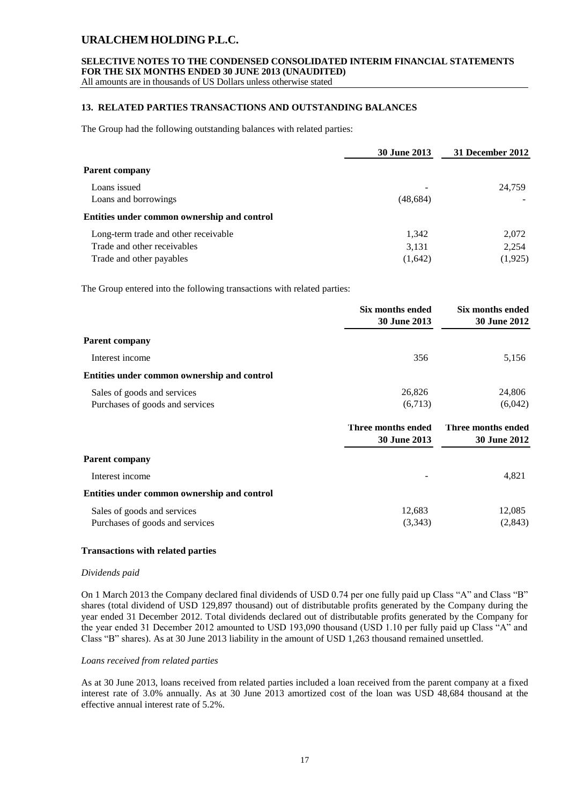### **SELECTIVE NOTES TO THE CONDENSED CONSOLIDATED INTERIM FINANCIAL STATEMENTS FOR THE SIX MONTHS ENDED 30 JUNE 2013 (UNAUDITED)**

All amounts are in thousands of US Dollars unless otherwise stated

### **13. RELATED PARTIES TRANSACTIONS AND OUTSTANDING BALANCES**

The Group had the following outstanding balances with related parties:

|                                             | <b>30 June 2013</b> | 31 December 2012 |
|---------------------------------------------|---------------------|------------------|
| <b>Parent company</b>                       |                     |                  |
| Loans issued                                |                     | 24,759           |
| Loans and borrowings                        | (48, 684)           |                  |
| Entities under common ownership and control |                     |                  |
| Long-term trade and other receivable        | 1,342               | 2,072            |
| Trade and other receivables                 | 3,131               | 2,254            |
| Trade and other payables                    | (1,642)             | (1, 925)         |

The Group entered into the following transactions with related parties:

|                                             | Six months ended<br><b>30 June 2013</b> | Six months ended<br><b>30 June 2012</b> |
|---------------------------------------------|-----------------------------------------|-----------------------------------------|
|                                             |                                         |                                         |
| <b>Parent company</b>                       |                                         |                                         |
| Interest income                             | 356                                     | 5,156                                   |
| Entities under common ownership and control |                                         |                                         |
| Sales of goods and services                 | 26,826                                  | 24,806                                  |
| Purchases of goods and services             | (6,713)                                 | (6,042)                                 |
|                                             | Three months ended                      | Three months ended                      |
|                                             | <b>30 June 2013</b>                     | <b>30 June 2012</b>                     |
| <b>Parent company</b>                       |                                         |                                         |
| Interest income                             |                                         | 4,821                                   |
| Entities under common ownership and control |                                         |                                         |
| Sales of goods and services                 | 12,683                                  | 12,085                                  |
| Purchases of goods and services             | (3,343)                                 | (2, 843)                                |

### **Transactions with related parties**

### *Dividends paid*

On 1 March 2013 the Company declared final dividends of USD 0.74 per one fully paid up Class "A" and Class "B" shares (total dividend of USD 129,897 thousand) out of distributable profits generated by the Company during the year ended 31 December 2012. Total dividends declared out of distributable profits generated by the Company for the year ended 31 December 2012 amounted to USD 193,090 thousand (USD 1.10 per fully paid up Class "A" and Class "B" shares). As at 30 June 2013 liability in the amount of USD 1,263 thousand remained unsettled.

### *Loans received from related parties*

As at 30 June 2013, loans received from related parties included a loan received from the parent company at a fixed interest rate of 3.0% annually. As at 30 June 2013 amortized cost of the loan was USD 48,684 thousand at the effective annual interest rate of 5.2%.